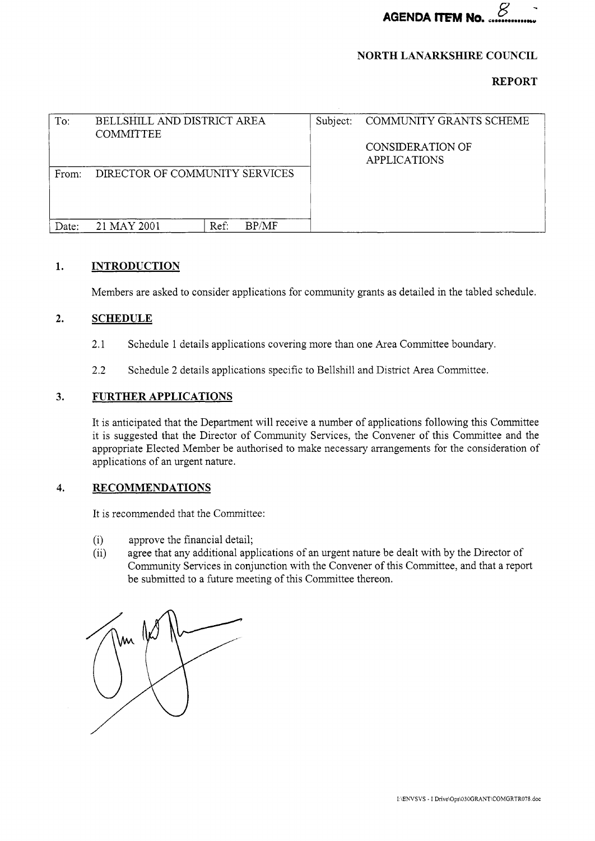

### **NORTH LANARKSHIRE COUNCIL**

### **REPORT**

| To:   | BELLSHILL AND DISTRICT AREA<br><b>COMMITTEE</b> |                      |  | Subject: | <b>COMMUNITY GRANTS SCHEME</b>          |
|-------|-------------------------------------------------|----------------------|--|----------|-----------------------------------------|
|       |                                                 |                      |  |          | CONSIDERATION OF<br><b>APPLICATIONS</b> |
| From: | DIRECTOR OF COMMUNITY SERVICES                  |                      |  |          |                                         |
|       |                                                 |                      |  |          |                                         |
| Date: | 21 MAY 2001                                     | <b>BP/MF</b><br>Ref: |  |          |                                         |

#### **1. INTRODUCTION**

Members are asked to consider applications for community grants as detailed in the tabled schedule.

#### **2. SCHEDULE**

- 2.1 Schedule 1 details applications covering more than one Area Committee boundary.
- 2.2 Schedule 2 details applications specific to Bellshill and District Area Committee.

#### **3. FURTHER APPLICATIONS**

It is anticipated that the Department will receive a number of applications following this Committee it is suggested that the Director of Community Services, the Convener of this Committee and the appropriate Elected Member be authorised to make necessary arrangements for the consideration of applications of an urgent nature.

#### **4. RECOMMENDATIONS**

It is recommended that the Committee:

- (i) approve the financial detail;
- (ii) agree that any additional applications of an urgent nature be dealt with by the Director of Community Services in conjunction with the Convener of this Committee, and that a report be submitted to a future meeting of this Committee thereon.

**M**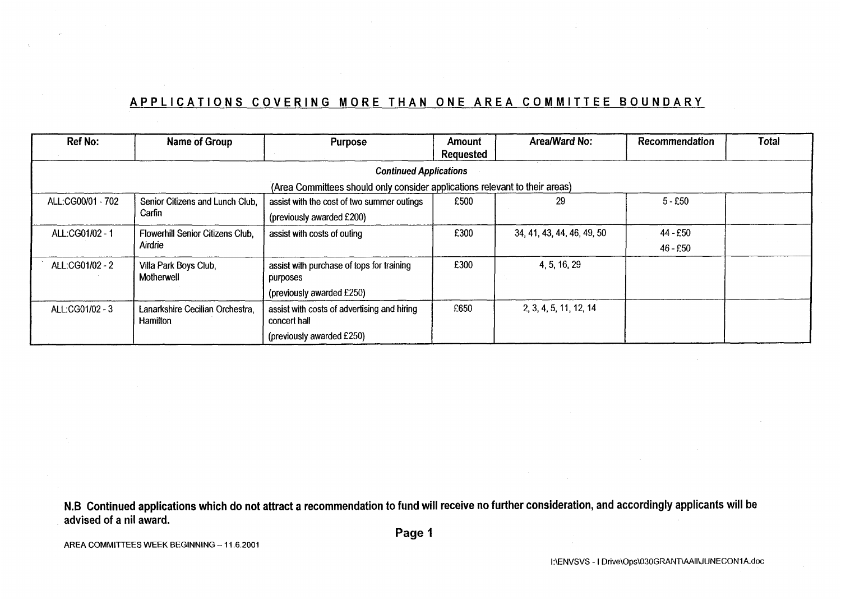# <span id="page-1-0"></span>**APPLICATIONS COVERING MORE THAN ONE AREA COMMITTEE BOUNDARY**

|                                                                            |                                             | $\sim$                                                                                                                                                 |           |                                                                                                                                                                                                                                                                                                                                                              |                          |       |
|----------------------------------------------------------------------------|---------------------------------------------|--------------------------------------------------------------------------------------------------------------------------------------------------------|-----------|--------------------------------------------------------------------------------------------------------------------------------------------------------------------------------------------------------------------------------------------------------------------------------------------------------------------------------------------------------------|--------------------------|-------|
|                                                                            |                                             | APPLICATIONS COVERING MORE THAN ONE AREA COMMITTEE BOUNDARY                                                                                            |           |                                                                                                                                                                                                                                                                                                                                                              |                          |       |
| <b>Ref No:</b>                                                             | Name of Group                               | Purpose                                                                                                                                                | Amount    | Area/Ward No:                                                                                                                                                                                                                                                                                                                                                | Recommendation           | Total |
|                                                                            |                                             | <b>Continued Applications</b>                                                                                                                          | Requested |                                                                                                                                                                                                                                                                                                                                                              |                          |       |
|                                                                            | Senior Citizens and Lunch Club,<br>Carfin   | (Area Committees should only consider applications relevant to their areas)<br>assist with the cost of two summer outings<br>(previously awarded £200) | £500      | 29                                                                                                                                                                                                                                                                                                                                                           | $5 - £50$                |       |
|                                                                            | Flowerhill Senior Citizens Club,<br>Airdrie | assist with costs of outing                                                                                                                            | £300      | 34, 41, 43, 44, 46, 49, 50                                                                                                                                                                                                                                                                                                                                   | $44 - £50$<br>$46 - £50$ |       |
|                                                                            | Villa Park Boys Club,<br>Motherwell         | assist with purchase of tops for training<br>purposes                                                                                                  | £300      | 4, 5, 16, 29                                                                                                                                                                                                                                                                                                                                                 |                          |       |
|                                                                            | Lanarkshire Cecilian Orchestra,<br>Hamilton | (previously awarded £250)<br>assist with costs of advertising and hiring<br>concert hall                                                               | £650      | 2, 3, 4, 5, 11, 12, 14                                                                                                                                                                                                                                                                                                                                       |                          |       |
| ALL:CG00/01 - 702<br>ALL:CG01/02 - 1<br>ALL:CG01/02 - 2<br>ALL:CG01/02 - 3 |                                             |                                                                                                                                                        |           |                                                                                                                                                                                                                                                                                                                                                              |                          |       |
|                                                                            |                                             | (previously awarded £250)                                                                                                                              |           |                                                                                                                                                                                                                                                                                                                                                              |                          |       |
|                                                                            | $\sim$ $\sim$                               |                                                                                                                                                        |           |                                                                                                                                                                                                                                                                                                                                                              |                          |       |
|                                                                            |                                             |                                                                                                                                                        |           |                                                                                                                                                                                                                                                                                                                                                              |                          |       |
|                                                                            |                                             |                                                                                                                                                        |           |                                                                                                                                                                                                                                                                                                                                                              |                          |       |
|                                                                            |                                             |                                                                                                                                                        |           |                                                                                                                                                                                                                                                                                                                                                              | $\sim 1000$ km s $^{-1}$ |       |
|                                                                            |                                             | N.B Continued applications which do not attract a recommendation to fund will receive no further consideration, and accordingly applicants will be     |           | $\label{eq:2.1} \frac{1}{2} \sum_{i=1}^n \frac{1}{2} \sum_{j=1}^n \frac{1}{2} \sum_{j=1}^n \frac{1}{2} \sum_{j=1}^n \frac{1}{2} \sum_{j=1}^n \frac{1}{2} \sum_{j=1}^n \frac{1}{2} \sum_{j=1}^n \frac{1}{2} \sum_{j=1}^n \frac{1}{2} \sum_{j=1}^n \frac{1}{2} \sum_{j=1}^n \frac{1}{2} \sum_{j=1}^n \frac{1}{2} \sum_{j=1}^n \frac{1}{2} \sum_{j=1}^n \frac{$ |                          |       |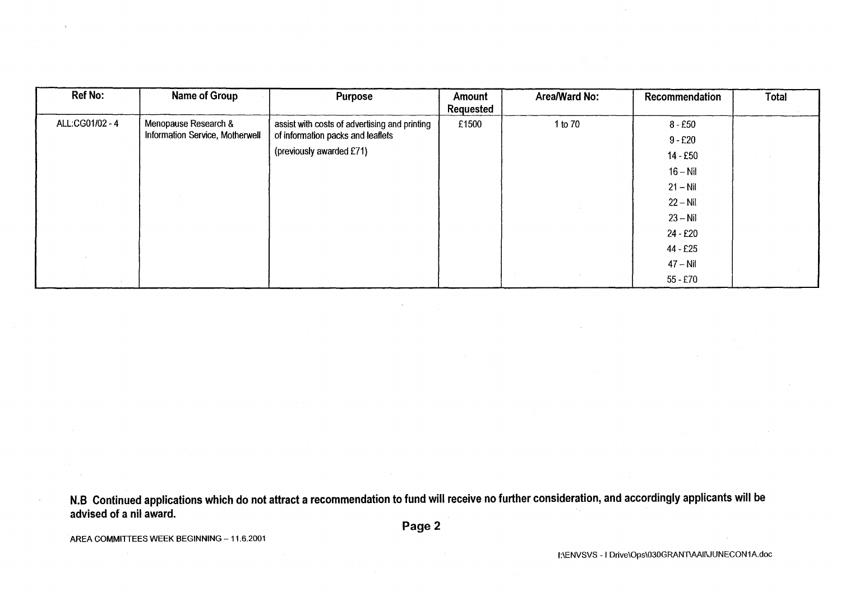<span id="page-2-0"></span>

| Ref No:                         | Name of Group        | Purpose                                       | Amount<br>Requested | Area/Ward No: | Recommendation | Total |
|---------------------------------|----------------------|-----------------------------------------------|---------------------|---------------|----------------|-------|
| ALL:CG01/02 - 4                 | Menopause Research & | assist with costs of advertising and printing | £1500               | 1 to 70       | $8 - £50$      |       |
| Information Service, Motherwell |                      | of information packs and leaflets             |                     |               | $9 - £20$      |       |
|                                 |                      | (previously awarded £71)                      |                     |               | $14 - £50$     |       |
|                                 |                      |                                               |                     |               | $16 - Nil$     |       |
|                                 |                      |                                               |                     |               | $21 - Nil$     |       |
|                                 |                      |                                               |                     |               | $22 - Nil$     |       |
|                                 |                      |                                               |                     |               | $23 - Nil$     |       |
|                                 |                      |                                               |                     |               | 24 - £20       |       |
|                                 |                      |                                               |                     |               | 44 - £25       |       |
|                                 |                      |                                               |                     |               | $47 - Nil$     |       |
|                                 |                      |                                               |                     |               | $55 - £70$     |       |

**N.B Continued applications which do not attract a recommendation to fund will receive no further consideration, and accordingly applicants will be advised of a nil award.** 

AREA COMMITTEES **WEEK** BEGINNING - **11.6.2001**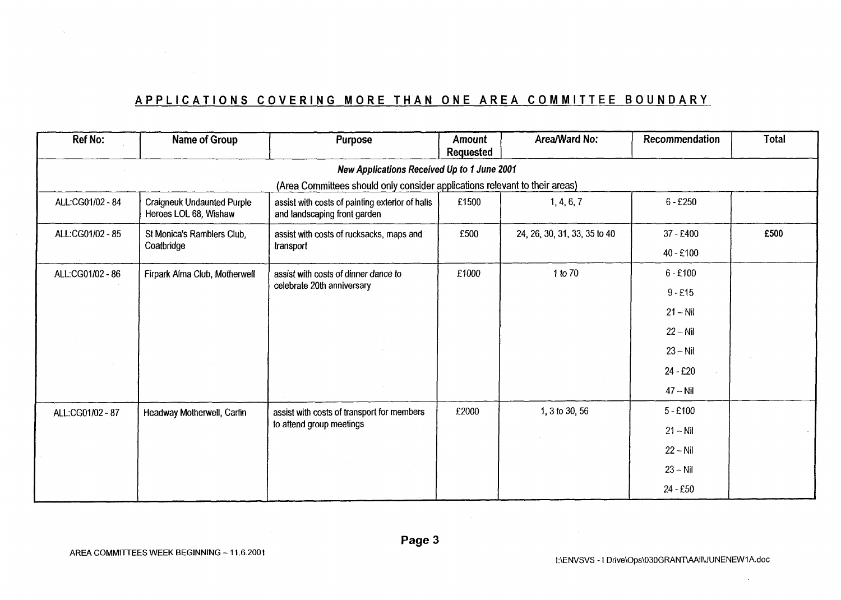# **APPLICATIONS COVERING MORE THAN ONE AREA COMMITTEE BOUNDARY**

| <b>Ref No:</b>   | Name of Group                                              | Purpose                                                                         | <b>Amount</b><br>Requested | Area/Ward No:                | Recommendation | Total |
|------------------|------------------------------------------------------------|---------------------------------------------------------------------------------|----------------------------|------------------------------|----------------|-------|
|                  |                                                            | New Applications Received Up to 1 June 2001                                     |                            |                              |                |       |
|                  |                                                            | (Area Committees should only consider applications relevant to their areas)     |                            |                              |                |       |
| ALL:CG01/02 - 84 | <b>Craigneuk Undaunted Purple</b><br>Heroes LOL 68, Wishaw | assist with costs of painting exterior of halls<br>and landscaping front garden | £1500                      | 1, 4, 6, 7                   | $6 - £250$     |       |
| ALL:CG01/02 - 85 | St Monica's Ramblers Club,                                 | assist with costs of rucksacks, maps and                                        | £500                       | 24, 26, 30, 31, 33, 35 to 40 | 37 - £400      | £500  |
|                  | Coatbridge                                                 | transport                                                                       |                            |                              | $40 - £100$    |       |
| ALL:CG01/02 - 86 | Firpark Alma Club, Motherwell                              | assist with costs of dinner dance to                                            | £1000                      | 1 to 70                      | $6 - £100$     |       |
|                  | celebrate 20th anniversary                                 |                                                                                 |                            | $9 - £15$                    |                |       |
|                  |                                                            |                                                                                 |                            |                              | $21 - Nil$     |       |
|                  |                                                            |                                                                                 |                            |                              | $22 - Nil$     |       |
|                  |                                                            |                                                                                 |                            |                              | $23 - Nil$     |       |
|                  |                                                            |                                                                                 |                            |                              | $24 - £20$     |       |
|                  |                                                            |                                                                                 |                            |                              | $47 - Nil$     |       |
| ALL:CG01/02 - 87 | Headway Motherwell, Carfin                                 | assist with costs of transport for members                                      | £2000                      | 1, 3 to 30, 56               | $5 - £100$     |       |
|                  |                                                            | to attend group meetings                                                        |                            |                              | $21 - Nil$     |       |
|                  |                                                            |                                                                                 |                            |                              | $22 - Nil$     |       |
|                  |                                                            |                                                                                 |                            |                              | $23 - Nil$     |       |
|                  |                                                            |                                                                                 |                            |                              | 24 - £50       |       |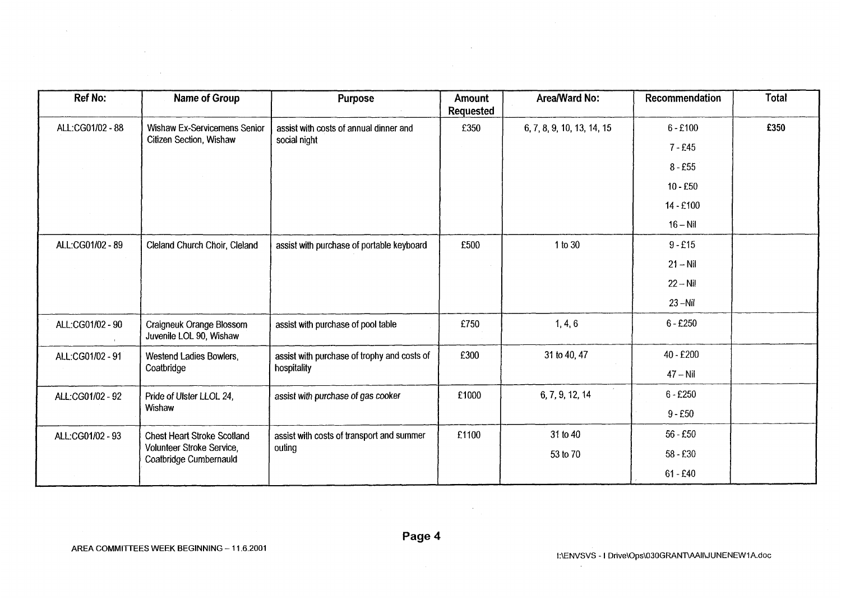| Ref No:          | Name of Group                                       | Purpose                                     | Amount<br><b>Requested</b> | Area/Ward No:              | Recommendation | Total |
|------------------|-----------------------------------------------------|---------------------------------------------|----------------------------|----------------------------|----------------|-------|
| ALL:CG01/02 - 88 | <b>Wishaw Ex-Servicemens Senior</b>                 | assist with costs of annual dinner and      | £350                       | 6, 7, 8, 9, 10, 13, 14, 15 | $6 - £100$     | £350  |
|                  | Citizen Section, Wishaw                             | social night                                |                            |                            | $7 - £45$      |       |
|                  |                                                     |                                             |                            |                            | $8 - £55$      |       |
|                  |                                                     |                                             |                            |                            | $10 - £50$     |       |
|                  |                                                     |                                             |                            |                            | 14 - £100      |       |
|                  |                                                     |                                             |                            |                            | $16 - Nil$     |       |
| ALL:CG01/02 - 89 | Cleland Church Choir, Cleland                       | assist with purchase of portable keyboard   | £500                       | 1 to 30                    | $9 - £15$      |       |
|                  |                                                     |                                             |                            |                            | $21 - Nil$     |       |
|                  |                                                     |                                             |                            |                            | $22 - Nil$     |       |
|                  |                                                     |                                             |                            |                            | $23 -$ Nil     |       |
| ALL:CG01/02 - 90 | Craigneuk Orange Blossom<br>Juvenile LOL 90, Wishaw | assist with purchase of pool table          | £750                       | 1, 4, 6                    | $6 - £250$     |       |
| ALL:CG01/02 - 91 | Westend Ladies Bowlers,                             | assist with purchase of trophy and costs of | £300                       | 31 to 40, 47               | 40 - £200      |       |
|                  | Coatbridge                                          | hospitality                                 |                            |                            | $47 - Nil$     |       |
| ALL:CG01/02 - 92 | Pride of Ulster LLOL 24,                            | assist with purchase of gas cooker          | £1000                      | 6, 7, 9, 12, 14            | $6 - £250$     |       |
|                  | Wishaw                                              |                                             |                            |                            | $9 - £50$      |       |
| ALL:CG01/02 - 93 | <b>Chest Heart Stroke Scotland</b>                  | assist with costs of transport and summer   | £1100                      | 31 to 40                   | $56 - £50$     |       |
|                  | Volunteer Stroke Service,<br>Coatbridge Cumbernauld | outing                                      |                            | 53 to 70                   | $58 - £30$     |       |
|                  |                                                     |                                             |                            |                            | $61 - £40$     |       |

 $\sim 10^{-1}$ 

 $\sim 10^7$ 

 $\mathcal{L}^{\text{max}}_{\text{max}}$ 

 $\rightarrow$ 

 $\sim 10^{11}$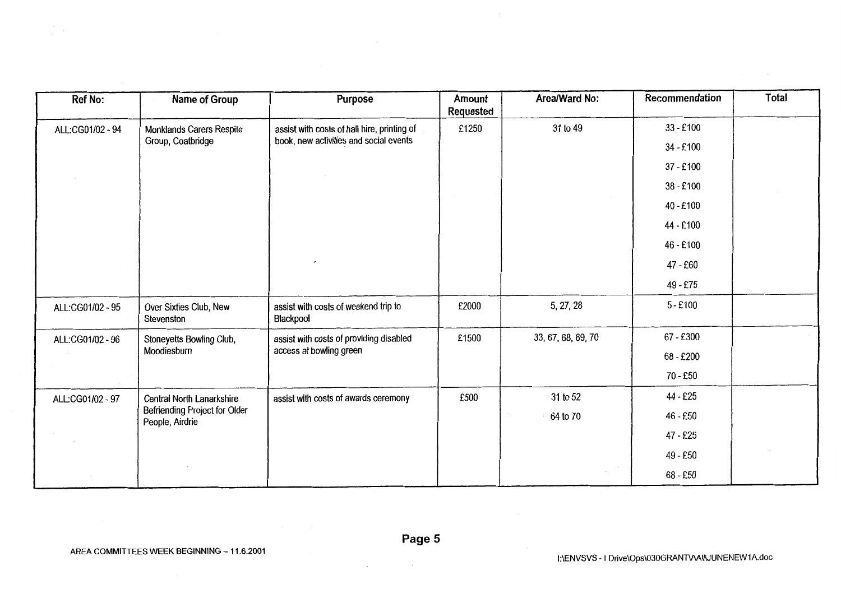| <b>Ref No:</b>   | Name of Group                                    | Purpose                                           | <b>Amount</b><br><b>Requested</b> | Area/Ward No:      | Recommendation | Total |
|------------------|--------------------------------------------------|---------------------------------------------------|-----------------------------------|--------------------|----------------|-------|
| ALL:CG01/02 - 94 | Monklands Carers Respite                         | assist with costs of hall hire, printing of       | £1250                             | 31 to 49           | 33 - £100      |       |
|                  | Group, Coatbridge                                | book, new activities and social events            |                                   |                    | 34 - £100      |       |
|                  |                                                  |                                                   |                                   |                    | $37 - £100$    |       |
|                  |                                                  |                                                   |                                   |                    | $38 - £100$    |       |
|                  |                                                  |                                                   |                                   |                    | 40 - £100      |       |
|                  |                                                  |                                                   |                                   |                    | 44 - £100      |       |
|                  |                                                  |                                                   |                                   |                    | 46 - £100      |       |
|                  |                                                  |                                                   |                                   |                    | 47 - £60       |       |
|                  |                                                  |                                                   |                                   |                    | 49 - £75       |       |
| ALL:CG01/02 - 95 | Over Sixties Club, New<br>Stevenston             | assist with costs of weekend trip to<br>Blackpool | £2000                             | 5, 27, 28          | $5 - £100$     |       |
| ALL:CG01/02 - 96 | Stoneyetts Bowling Club,                         | assist with costs of providing disabled           | £1500                             | 33, 67, 68, 69, 70 | 67 - £300      |       |
|                  | Moodiesburn                                      | access at bowling green                           |                                   |                    | 68 - £200      |       |
|                  |                                                  |                                                   |                                   |                    | 70 - £50       |       |
| ALL:CG01/02 - 97 | Central North Lanarkshire                        | assist with costs of awards ceremony              | £500                              | 31 to 52           | 44 - £25       |       |
|                  | Befriending Project for Older<br>People, Airdrie |                                                   |                                   | 64 to 70           | $46 - £50$     |       |
|                  |                                                  |                                                   |                                   |                    | 47 - £25       |       |
|                  |                                                  |                                                   |                                   |                    | 49 - £50       |       |
|                  |                                                  |                                                   |                                   |                    | 68 - £50       |       |

 $\sim 10^{-1}$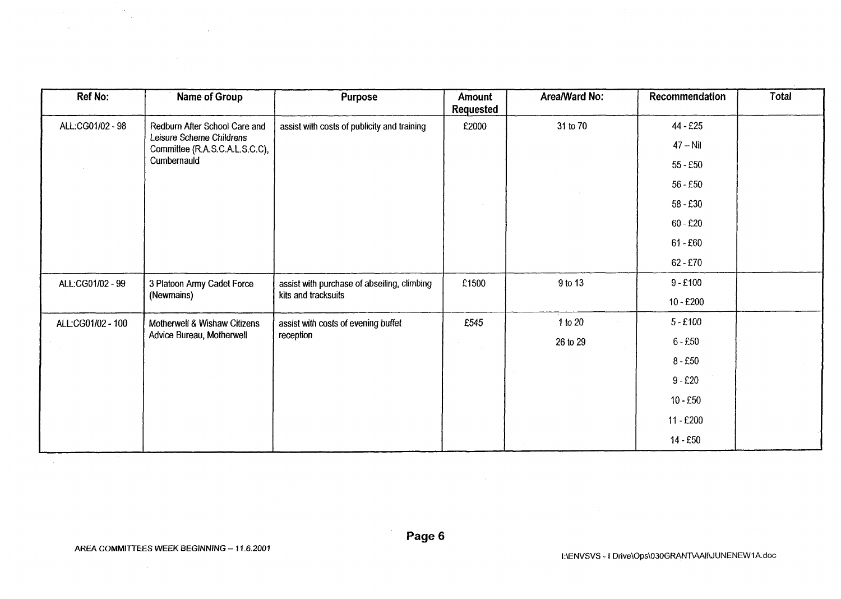| <b>Ref No:</b>    | Name of Group                                                             | Purpose                                     | Amount<br>Requested | Area/Ward No: | Recommendation | Total |
|-------------------|---------------------------------------------------------------------------|---------------------------------------------|---------------------|---------------|----------------|-------|
| ALL:CG01/02 - 98  | Redburn After School Care and                                             | assist with costs of publicity and training | £2000               | 31 to 70      | 44 - £25       |       |
|                   | Leisure Scheme Childrens<br>Committee (R.A.S.C.A.L.S.C.C),<br>Cumbernauld |                                             |                     |               | $47 - Nil$     |       |
|                   |                                                                           |                                             |                     |               | $55 - £50$     |       |
|                   |                                                                           |                                             |                     | $56 - £50$    |                |       |
|                   |                                                                           |                                             |                     |               | $58 - £30$     |       |
|                   |                                                                           |                                             |                     |               | $60 - £20$     |       |
|                   |                                                                           |                                             |                     | $61 - £60$    |                |       |
|                   |                                                                           |                                             |                     |               | $62 - £70$     |       |
| ALL:CG01/02 - 99  | 3 Platoon Army Cadet Force                                                | assist with purchase of abseiling, climbing | £1500               | 9 to 13       | $9 - £100$     |       |
|                   | (Newmains)                                                                | kits and tracksuits                         |                     |               | $10 - £200$    |       |
| ALL:CG01/02 - 100 | Motherwell & Wishaw Citizens                                              | assist with costs of evening buffet         | £545                | 1 to 20       | $5 - £100$     |       |
|                   | Advice Bureau, Motherwell                                                 | reception                                   |                     | 26 to 29      | $6 - £50$      |       |
|                   |                                                                           |                                             |                     |               | $8 - £50$      |       |
|                   |                                                                           |                                             |                     |               | $9 - £20$      |       |
|                   |                                                                           |                                             |                     |               | $10 - £50$     |       |
|                   |                                                                           |                                             |                     |               | $11 - £200$    |       |
|                   |                                                                           |                                             |                     |               | $14 - £50$     |       |

<span id="page-6-0"></span> $\sim$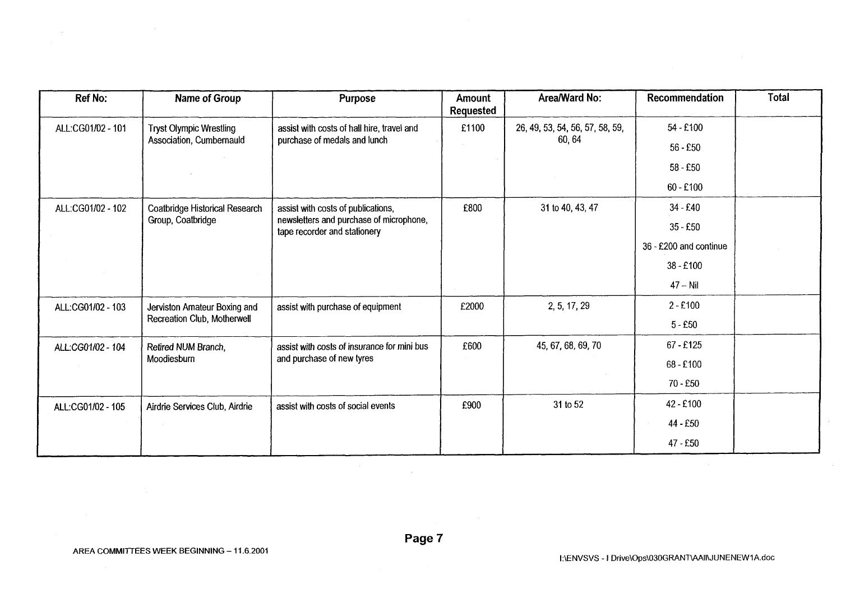<span id="page-7-0"></span>

| $\alpha$ , $\alpha$ , and $\alpha$ | $\sim 100$ km s $^{-1}$                                     |                                                                                                               |                     |                                           |                                                  |       |
|------------------------------------|-------------------------------------------------------------|---------------------------------------------------------------------------------------------------------------|---------------------|-------------------------------------------|--------------------------------------------------|-------|
| Ref No:                            | Name of Group                                               | Purpose                                                                                                       | Amount<br>Requested | Area/Ward No:                             | Recommendation                                   | Total |
| ALL:CG01/02 - 101                  | Tryst Olympic Wrestling<br>Association, Cumbernauld         | assist with costs of hall hire, travel and<br>purchase of medals and lunch                                    | £1100               | 26, 49, 53, 54, 56, 57, 58, 59,<br>60, 64 | 54 - £100<br>56 - £50                            |       |
|                                    | $\sim 10^{-1}$                                              |                                                                                                               |                     |                                           | 58 - £50<br>$60 - £100$                          |       |
| ALL:CG01/02 - 102                  | Coatbridge Historical Research<br>Group, Coatbridge         | assist with costs of publications,<br>newsletters and purchase of microphone,<br>tape recorder and stationery | £800                | 31 to 40, 43, 47                          | 34 - £40<br>$35 - £50$<br>36 - £200 and continue |       |
|                                    |                                                             |                                                                                                               |                     |                                           | 38 - £100<br>$47 - Nil$                          |       |
| ALL:CG01/02 - 103                  | Jerviston Amateur Boxing and<br>Recreation Club, Motherwell | assist with purchase of equipment                                                                             | £2000               | 2, 5, 17, 29                              | $2 - £100$<br>$5 - £50$                          |       |
| ALL:CG01/02 - 104                  | Retired NUM Branch,<br>Moodiesburn                          | assist with costs of insurance for mini bus<br>and purchase of new tyres                                      | £600                | 45, 67, 68, 69, 70                        | $67 - £125$<br>68 - £100                         |       |
| ALL:CG01/02 - 105                  | Airdrie Services Club, Airdrie                              | assist with costs of social events                                                                            | £900                | 31 to 52                                  | 70 - £50<br>42 - £100<br>44 - £50                |       |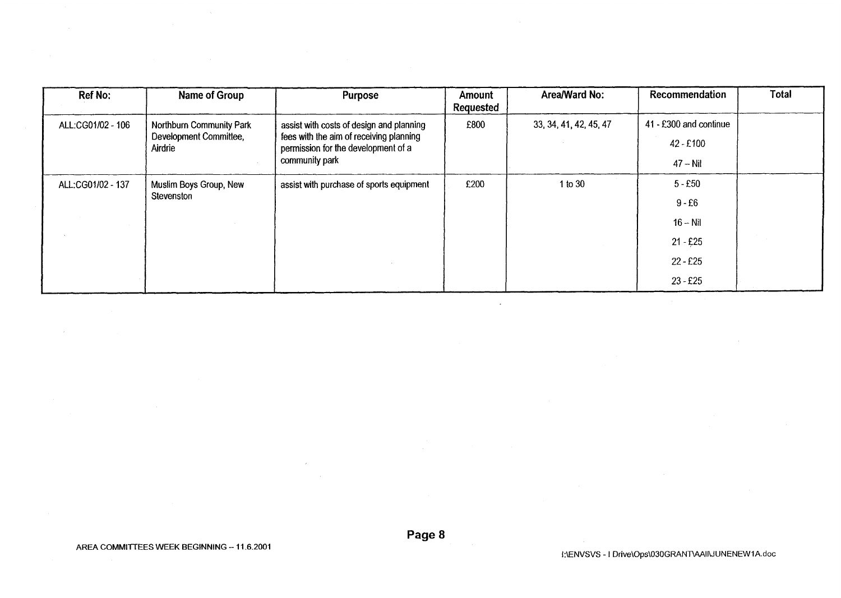| <b>Ref No:</b>    | Name of Group                     | <b>Purpose</b>                                                                                                                               | Amount<br>Requested | Area/Ward No:          | Recommendation         | <b>Total</b> |
|-------------------|-----------------------------------|----------------------------------------------------------------------------------------------------------------------------------------------|---------------------|------------------------|------------------------|--------------|
| ALL:CG01/02 - 106 | Northburn Community Park          | assist with costs of design and planning<br>fees with the aim of receiving planning<br>permission for the development of a<br>community park | £800                | 33, 34, 41, 42, 45, 47 | 41 - £300 and continue |              |
|                   | Development Committee,<br>Airdrie |                                                                                                                                              |                     |                        | $42 - £100$            |              |
|                   |                                   |                                                                                                                                              |                     |                        | $47 - Nil$             |              |
| ALL:CG01/02 - 137 | Muslim Boys Group, New            | assist with purchase of sports equipment                                                                                                     | £200                | 1 to 30                | $5 - £50$              |              |
|                   | Stevenston                        |                                                                                                                                              |                     |                        | $9 - £6$               |              |
|                   |                                   |                                                                                                                                              |                     |                        | $16 - Nil$             |              |
|                   |                                   |                                                                                                                                              |                     |                        | $21 - £25$             |              |
|                   |                                   |                                                                                                                                              |                     |                        | $22 - £25$             |              |
|                   |                                   |                                                                                                                                              |                     |                        | $23 - £25$             |              |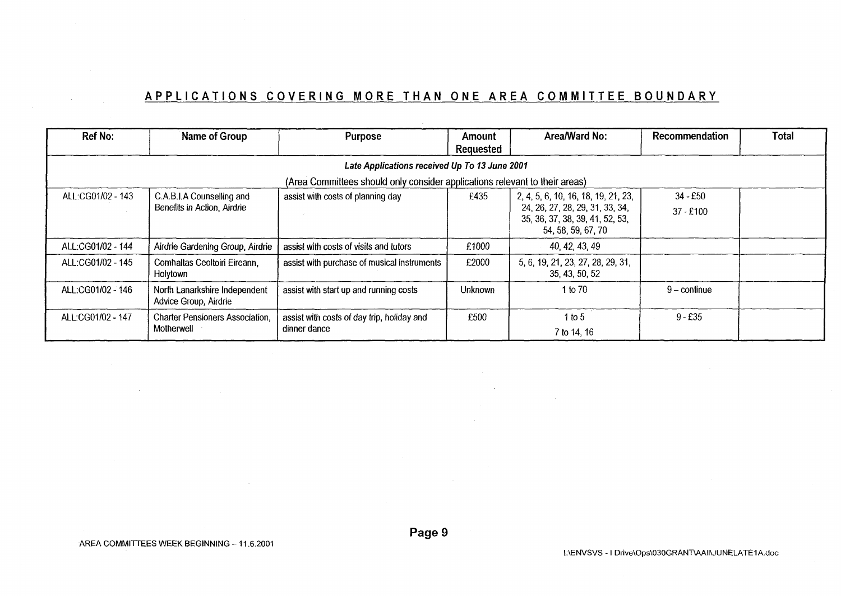# **APPLICATIONS COVERING MORE THAN ONE AREA COMMITTEE BOUNDARY**

<span id="page-9-0"></span>

| Ref No:                                       | Name of Group                                          | Purpose                                                                     | Amount<br>Requested | Area/Ward No:                                                                            | Recommendation | Total |  |  |  |
|-----------------------------------------------|--------------------------------------------------------|-----------------------------------------------------------------------------|---------------------|------------------------------------------------------------------------------------------|----------------|-------|--|--|--|
| Late Applications received Up To 13 June 2001 |                                                        |                                                                             |                     |                                                                                          |                |       |  |  |  |
|                                               |                                                        | (Area Committees should only consider applications relevant to their areas) |                     |                                                                                          |                |       |  |  |  |
| ALL:CG01/02 - 143                             | C.A.B.I.A Counselling and                              | assist with costs of planning day                                           | £435                | 2, 4, 5, 6, 10, 16, 18, 19, 21, 23,                                                      | $34 - £50$     |       |  |  |  |
|                                               | Benefits in Action, Airdrie                            |                                                                             |                     | 24, 26, 27, 28, 29, 31, 33, 34,<br>35, 36, 37, 38, 39, 41, 52, 53,<br>54, 58, 59, 67, 70 | $37 - £100$    |       |  |  |  |
| ALL:CG01/02 - 144                             | Airdrie Gardening Group, Airdrie                       | assist with costs of visits and tutors                                      | £1000               | 40, 42, 43, 49                                                                           |                |       |  |  |  |
| ALL:CG01/02 - 145                             | Comhaltas Ceoltoiri Eireann,<br>Holytown               | assist with purchase of musical instruments                                 | £2000               | 5, 6, 19, 21, 23, 27, 28, 29, 31,<br>35, 43, 50, 52                                      |                |       |  |  |  |
| ALL:CG01/02 - 146                             | North Lanarkshire Independent<br>Advice Group, Airdrie | assist with start up and running costs                                      | Unknown             | 1 to 70                                                                                  | $9$ – continue |       |  |  |  |
| ALL:CG01/02 - 147                             | <b>Charter Pensioners Association,</b><br>Motherwell   | assist with costs of day trip, holiday and<br>dinner dance                  | £500                | 1 to 5<br>7 to 14, 16                                                                    | $9 - £35$      |       |  |  |  |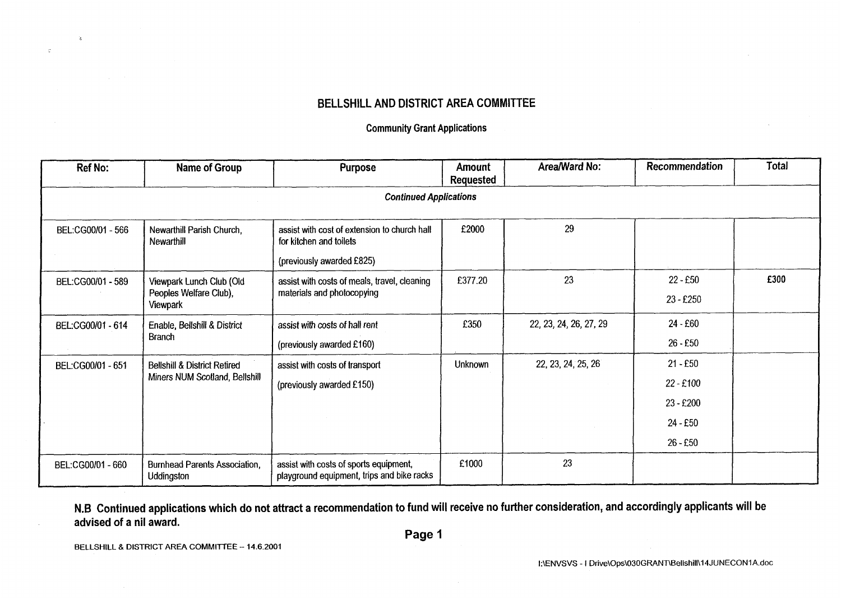## **BELLSHILL AND DISTRICT AREA COMMITTEE**

**Community Grant Applications** 

| Ref No:           | Name of Group                                                             | Purpose                                                                                              | Amount<br>Requested | Area/Ward No:          | Recommendation                                                     | Total |  |  |  |  |
|-------------------|---------------------------------------------------------------------------|------------------------------------------------------------------------------------------------------|---------------------|------------------------|--------------------------------------------------------------------|-------|--|--|--|--|
|                   | <b>Continued Applications</b>                                             |                                                                                                      |                     |                        |                                                                    |       |  |  |  |  |
| BEL:CG00/01 - 566 | Newarthill Parish Church,<br>Newarthill                                   | assist with cost of extension to church hall<br>for kitchen and toilets<br>(previously awarded £825) | £2000               | 29                     |                                                                    |       |  |  |  |  |
| BEL:CG00/01 - 589 | Viewpark Lunch Club (Old<br>Peoples Welfare Club),<br>Viewpark            | assist with costs of meals, travel, cleaning<br>materials and photocopying                           | £377.20             | 23                     | $22 - £50$<br>$23 - £250$                                          | £300  |  |  |  |  |
| BEL:CG00/01 - 614 | Enable, Bellshill & District<br><b>Branch</b>                             | assist with costs of hall rent<br>(previously awarded £160)                                          | £350                | 22, 23, 24, 26, 27, 29 | $24 - £60$<br>$26 - £50$                                           |       |  |  |  |  |
| BEL:CG00/01 - 651 | <b>Bellshill &amp; District Retired</b><br>Miners NUM Scotland, Bellshill | assist with costs of transport<br>(previously awarded £150)                                          | <b>Unknown</b>      | 22, 23, 24, 25, 26     | $21 - £50$<br>22 - £100<br>$23 - £200$<br>$24 - E50$<br>$26 - £50$ |       |  |  |  |  |
| BEL:CG00/01 - 660 | Burnhead Parents Association,<br>Uddingston                               | assist with costs of sports equipment,<br>playground equipment, trips and bike racks                 | £1000               | 23                     |                                                                    |       |  |  |  |  |

**N.6 Continued applications which do not attract a recommendation to fund will receive no further consideration, and accordingly applicants will be advised of a nil award.** 

**[Page 1](#page-1-0)** 

<span id="page-10-0"></span> $\mathbf{\hat{x}}$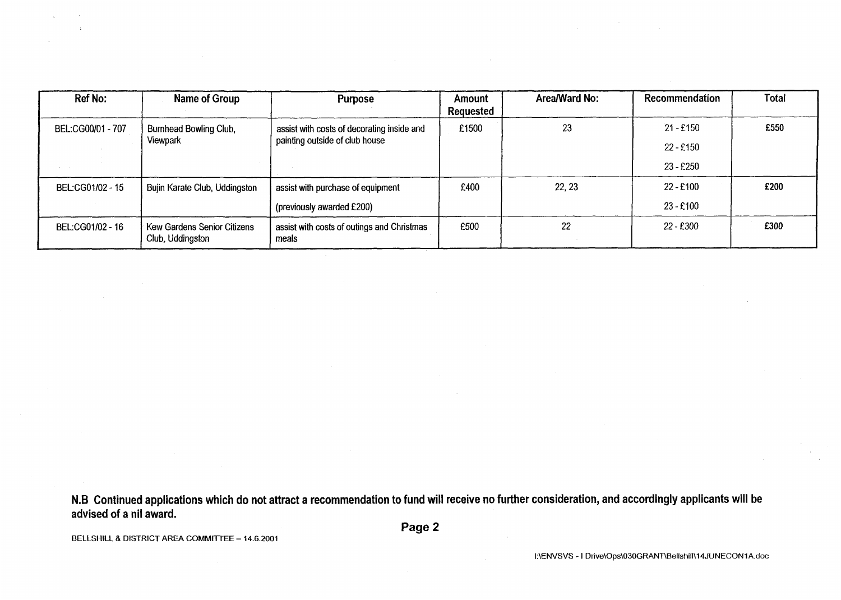| Ref No:           | Name of Group                                   | <b>Purpose</b>                                      | Amount<br>Requested | Area/Ward No: | Recommendation | Total |
|-------------------|-------------------------------------------------|-----------------------------------------------------|---------------------|---------------|----------------|-------|
| BEL:CG00/01 - 707 | Burnhead Bowling Club,                          | assist with costs of decorating inside and          | £1500               | 23            | $21 - £150$    | £550  |
|                   | Viewpark                                        | painting outside of club house                      |                     |               | 22 - £150      |       |
|                   |                                                 |                                                     |                     |               | $23 - £250$    |       |
| BEL:CG01/02 - 15  | Bujin Karate Club, Uddingston                   | assist with purchase of equipment                   | £400                | 22, 23        | $22 - £100$    | £200  |
|                   |                                                 | (previously awarded £200)                           |                     |               | 23 - £100      |       |
| BEL:CG01/02 - 16  | Kew Gardens Senior Citizens<br>Club, Uddingston | assist with costs of outings and Christmas<br>meals | £500                | 22            | 22 - £300      | £300  |

**N.B Continued applications which do not attract a recommendation to fund will receive no further consideration, and accordingly applicants will be advised of a nil award.** 

**[Page](#page-2-0) 2** 

**BELLSHILL** €i **DISTRICT AREX COMMITTEE** - **14.6.2001**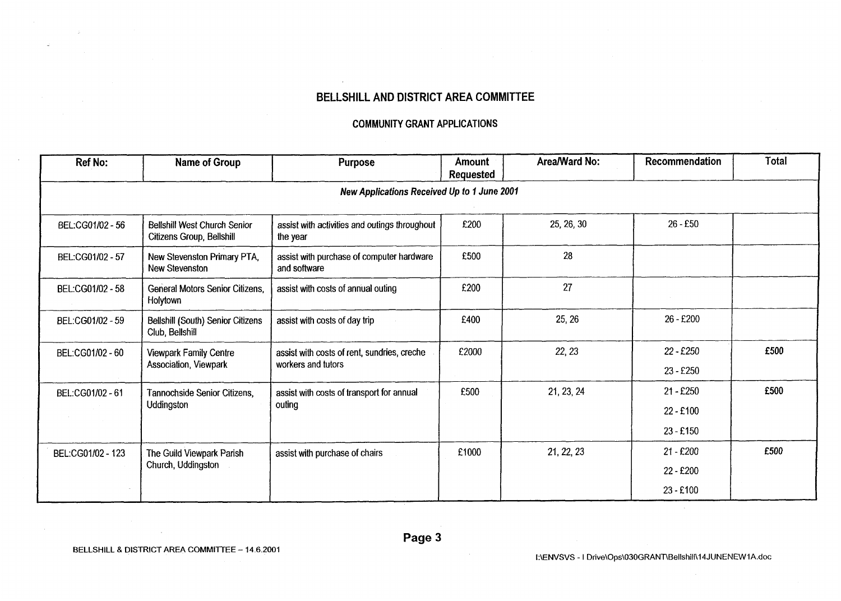## **BELLSHILL AND DISTRICT AREA COMMITTEE**

### **COMMUNITY GRANT APPLICATIONS**

| $\label{eq:2.1} \mathcal{B} = \left\{ \begin{array}{ll} \mathcal{B} & \text{if} \quad \mathcal{B} & \text{if} \quad \mathcal{B} \\ \mathcal{B} & \text{if} \quad \mathcal{B} & \text{if} \quad \mathcal{B} \\ \mathcal{B} & \text{if} \quad \mathcal{B} & \text{if} \quad \mathcal{B} \end{array} \right. \right.$                                                                                                                                        |                                                                                         |                                                                                                              |           | $\mathcal{L}(\mathcal{L}(\mathcal{L}))$ and $\mathcal{L}(\mathcal{L}(\mathcal{L}))$ . The contribution of the contribution of $\mathcal{L}(\mathcal{L})$ |                        |       |
|-----------------------------------------------------------------------------------------------------------------------------------------------------------------------------------------------------------------------------------------------------------------------------------------------------------------------------------------------------------------------------------------------------------------------------------------------------------|-----------------------------------------------------------------------------------------|--------------------------------------------------------------------------------------------------------------|-----------|----------------------------------------------------------------------------------------------------------------------------------------------------------|------------------------|-------|
| $\label{eq:2.1} \frac{d}{dt} \left( \frac{d}{dt} \right) = \frac{1}{2} \left( \frac{d}{dt} \right) \left( \frac{d}{dt} \right) = \frac{1}{2} \left( \frac{d}{dt} \right) \left( \frac{d}{dt} \right) = \frac{1}{2} \left( \frac{d}{dt} \right) = \frac{1}{2} \left( \frac{d}{dt} \right) = \frac{1}{2} \left( \frac{d}{dt} \right) = \frac{1}{2} \left( \frac{d}{dt} \right) = \frac{1}{2} \left( \frac{d}{dt} \right) = \frac{1}{2} \left( \frac{d}{dt}$ | $\mathcal{L}^{\text{max}}_{\text{max}}$ , where $\mathcal{L}^{\text{max}}_{\text{max}}$ |                                                                                                              |           |                                                                                                                                                          |                        |       |
| $\label{eq:2.1} \mathcal{L}(\mathcal{L}^{\text{max}}_{\mathcal{L}}(\mathcal{L}^{\text{max}}_{\mathcal{L}}),\mathcal{L}^{\text{max}}_{\mathcal{L}}(\mathcal{L}^{\text{max}}_{\mathcal{L}}))$                                                                                                                                                                                                                                                               |                                                                                         | $\mathcal{L}^{\mathcal{L}}(\mathcal{L}^{\mathcal{L}}(\mathcal{L}^{\mathcal{L}}(\mathcal{L}^{\mathcal{L}})))$ |           |                                                                                                                                                          |                        |       |
|                                                                                                                                                                                                                                                                                                                                                                                                                                                           |                                                                                         | BELLSHILL AND DISTRICT AREA COMMITTEE                                                                        |           |                                                                                                                                                          |                        |       |
|                                                                                                                                                                                                                                                                                                                                                                                                                                                           |                                                                                         |                                                                                                              |           |                                                                                                                                                          |                        |       |
|                                                                                                                                                                                                                                                                                                                                                                                                                                                           |                                                                                         |                                                                                                              |           |                                                                                                                                                          |                        |       |
|                                                                                                                                                                                                                                                                                                                                                                                                                                                           |                                                                                         | <b>COMMUNITY GRANT APPLICATIONS</b>                                                                          |           |                                                                                                                                                          |                        |       |
| Ref No:                                                                                                                                                                                                                                                                                                                                                                                                                                                   |                                                                                         |                                                                                                              | Amount    | Area/Ward No:                                                                                                                                            | Recommendation         |       |
|                                                                                                                                                                                                                                                                                                                                                                                                                                                           | Name of Group                                                                           | Purpose                                                                                                      | Requested |                                                                                                                                                          |                        |       |
|                                                                                                                                                                                                                                                                                                                                                                                                                                                           |                                                                                         | New Applications Received Up to 1 June 2001                                                                  |           |                                                                                                                                                          |                        | Total |
|                                                                                                                                                                                                                                                                                                                                                                                                                                                           | <b>Bellshill West Church Senior</b><br>Citizens Group, Bellshill                        | assist with activities and outings throughout<br>the year                                                    | £200      | 25, 26, 30                                                                                                                                               | 26 - £50               |       |
|                                                                                                                                                                                                                                                                                                                                                                                                                                                           | New Stevenston Primary PTA,                                                             | assist with purchase of computer hardware                                                                    | £500      | 28                                                                                                                                                       |                        |       |
|                                                                                                                                                                                                                                                                                                                                                                                                                                                           | New Stevenston<br>General Motors Senior Citizens,                                       | and software<br>assist with costs of annual outing                                                           | £200      | 27                                                                                                                                                       |                        |       |
| BEL:CG01/02 - 56<br>BEL:CG01/02 - 57<br>BEL:CG01/02 - 58                                                                                                                                                                                                                                                                                                                                                                                                  | Holytown                                                                                |                                                                                                              |           |                                                                                                                                                          |                        |       |
| BEL:CG01/02 - 59                                                                                                                                                                                                                                                                                                                                                                                                                                          | Bellshill (South) Senior Citizens<br>Club, Bellshill                                    | assist with costs of day trip                                                                                | £400      | 25, 26                                                                                                                                                   | 26 - £200              |       |
|                                                                                                                                                                                                                                                                                                                                                                                                                                                           | <b>Viewpark Family Centre</b>                                                           | assist with costs of rent, sundries, creche                                                                  | £2000     | 22, 23                                                                                                                                                   | 22 - £250              | £500  |
|                                                                                                                                                                                                                                                                                                                                                                                                                                                           | Association, Viewpark                                                                   | workers and tutors                                                                                           |           |                                                                                                                                                          | 23 - £250              |       |
|                                                                                                                                                                                                                                                                                                                                                                                                                                                           | Tannochside Senior Citizens,                                                            | assist with costs of transport for annual                                                                    | £500      | 21, 23, 24                                                                                                                                               | 21 - £250              | £500  |
|                                                                                                                                                                                                                                                                                                                                                                                                                                                           | Uddingston                                                                              | outing                                                                                                       |           |                                                                                                                                                          | 22 - £100              |       |
|                                                                                                                                                                                                                                                                                                                                                                                                                                                           |                                                                                         |                                                                                                              |           |                                                                                                                                                          | 23 - £150              |       |
| BEL:CG01/02 - 60<br>BEL:CG01/02 - 61<br>BEL:CG01/02 - 123                                                                                                                                                                                                                                                                                                                                                                                                 | The Guild Viewpark Parish                                                               | assist with purchase of chairs                                                                               | £1000     | 21, 22, 23                                                                                                                                               | 21 - £200              | £500  |
|                                                                                                                                                                                                                                                                                                                                                                                                                                                           | Church, Uddingston                                                                      |                                                                                                              |           |                                                                                                                                                          | 22 - £200<br>23 - £100 |       |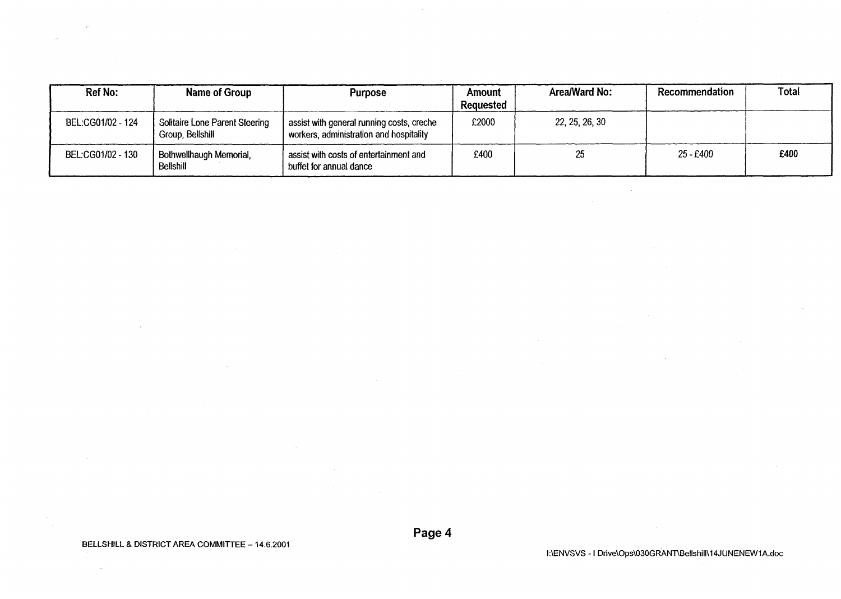| <b>Ref No:</b>    | Name of Group                                      | Purpose                                                                              | Amount<br>Reauested | Area/Ward No:  | Recommendation | Total |  |
|-------------------|----------------------------------------------------|--------------------------------------------------------------------------------------|---------------------|----------------|----------------|-------|--|
| BEL:CG01/02 - 124 | Solitaire Lone Parent Steering<br>Group, Bellshill | assist with general running costs, creche<br>workers, administration and hospitality | £2000               | 22, 25, 26, 30 |                |       |  |
| BEL:CG01/02 - 130 | Bothwellhaugh Memorial,<br>Bellshill               | assist with costs of entertainment and<br>buffet for annual dance                    | £400                | 25             | 25 - £400      | £400  |  |